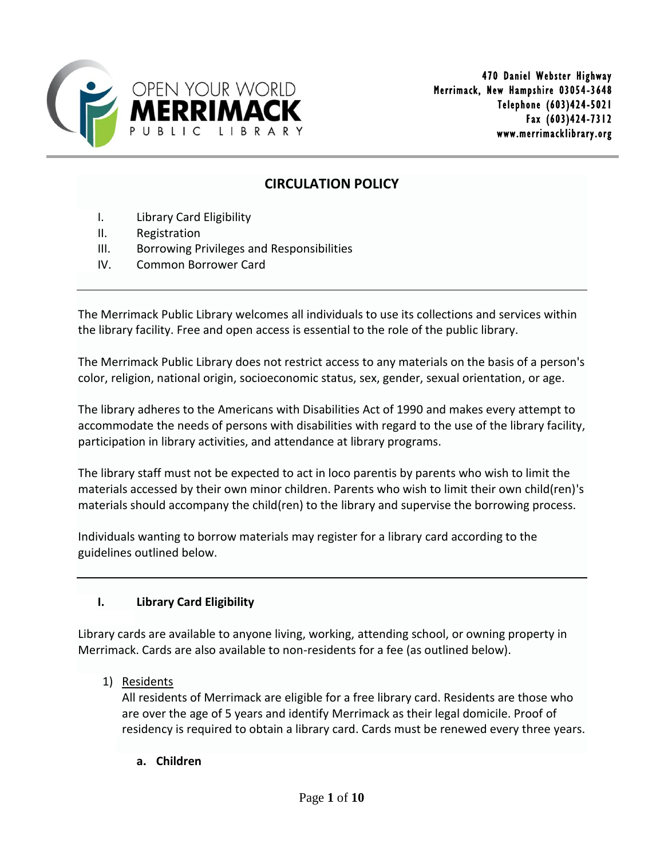

# **CIRCULATION POLICY**

- I. Library Card Eligibility
- II. Registration
- III. Borrowing Privileges and Responsibilities
- IV. Common Borrower Card

The Merrimack Public Library welcomes all individuals to use its collections and services within the library facility. Free and open access is essential to the role of the public library.

The Merrimack Public Library does not restrict access to any materials on the basis of a person's color, religion, national origin, socioeconomic status, sex, gender, sexual orientation, or age.

The library adheres to the Americans with Disabilities Act of 1990 and makes every attempt to accommodate the needs of persons with disabilities with regard to the use of the library facility, participation in library activities, and attendance at library programs.

The library staff must not be expected to act in loco parentis by parents who wish to limit the materials accessed by their own minor children. Parents who wish to limit their own child(ren)'s materials should accompany the child(ren) to the library and supervise the borrowing process.

Individuals wanting to borrow materials may register for a library card according to the guidelines outlined below.

## **I. Library Card Eligibility**

Library cards are available to anyone living, working, attending school, or owning property in Merrimack. Cards are also available to non-residents for a fee (as outlined below).

1) Residents

All residents of Merrimack are eligible for a free library card. Residents are those who are over the age of 5 years and identify Merrimack as their legal domicile. Proof of residency is required to obtain a library card. Cards must be renewed every three years.

**a. Children**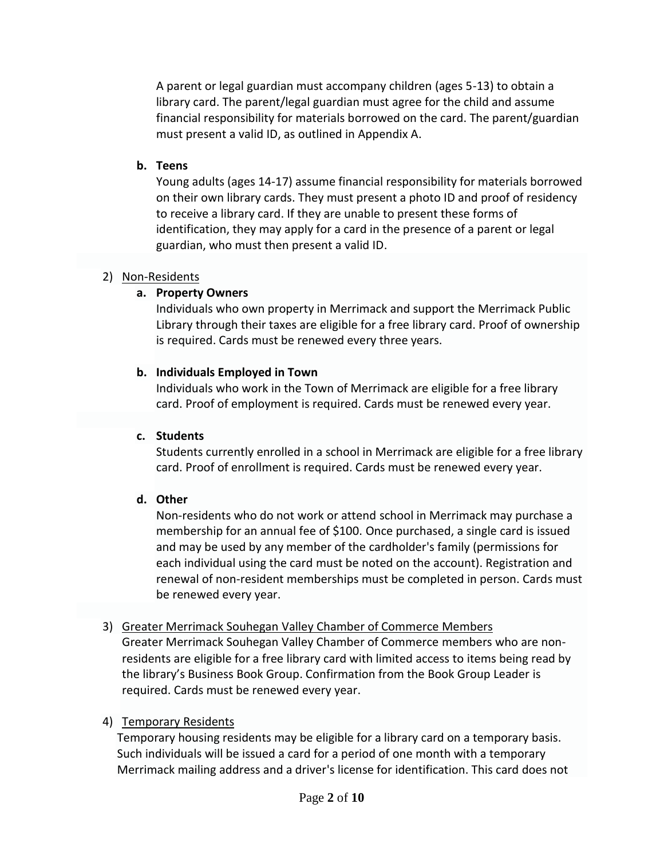A parent or legal guardian must accompany children (ages 5-13) to obtain a library card. The parent/legal guardian must agree for the child and assume financial responsibility for materials borrowed on the card. The parent/guardian must present a valid ID, as outlined in Appendix A.

#### **b. Teens**

Young adults (ages 14-17) assume financial responsibility for materials borrowed on their own library cards. They must present a photo ID and proof of residency to receive a library card. If they are unable to present these forms of identification, they may apply for a card in the presence of a parent or legal guardian, who must then present a valid ID.

#### 2) Non-Residents

#### **a. Property Owners**

Individuals who own property in Merrimack and support the Merrimack Public Library through their taxes are eligible for a free library card. Proof of ownership is required. Cards must be renewed every three years.

#### **b. Individuals Employed in Town**

Individuals who work in the Town of Merrimack are eligible for a free library card. Proof of employment is required. Cards must be renewed every year.

#### **c. Students**

Students currently enrolled in a school in Merrimack are eligible for a free library card. Proof of enrollment is required. Cards must be renewed every year.

#### **d. Other**

Non-residents who do not work or attend school in Merrimack may purchase a membership for an annual fee of \$100. Once purchased, a single card is issued and may be used by any member of the cardholder's family (permissions for each individual using the card must be noted on the account). Registration and renewal of non-resident memberships must be completed in person. Cards must be renewed every year.

#### 3) Greater Merrimack Souhegan Valley Chamber of Commerce Members

Greater Merrimack Souhegan Valley Chamber of Commerce members who are nonresidents are eligible for a free library card with limited access to items being read by the library's Business Book Group. Confirmation from the Book Group Leader is required. Cards must be renewed every year.

#### 4) Temporary Residents

Temporary housing residents may be eligible for a library card on a temporary basis. Such individuals will be issued a card for a period of one month with a temporary Merrimack mailing address and a driver's license for identification. This card does not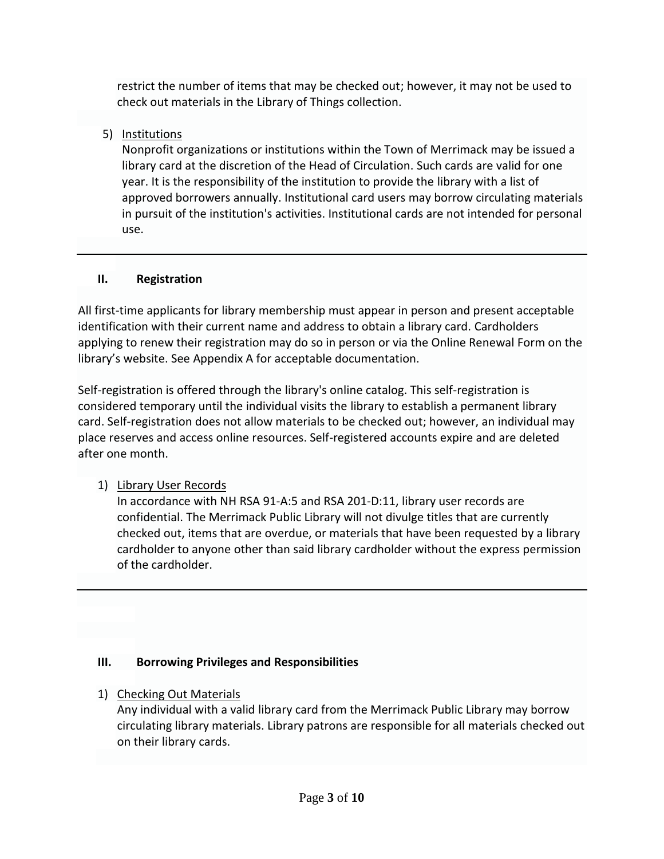restrict the number of items that may be checked out; however, it may not be used to check out materials in the Library of Things collection.

# 5) Institutions

Nonprofit organizations or institutions within the Town of Merrimack may be issued a library card at the discretion of the Head of Circulation. Such cards are valid for one year. It is the responsibility of the institution to provide the library with a list of approved borrowers annually. Institutional card users may borrow circulating materials in pursuit of the institution's activities. Institutional cards are not intended for personal use.

# **II. Registration**

All first-time applicants for library membership must appear in person and present acceptable identification with their current name and address to obtain a library card. Cardholders applying to renew their registration may do so in person or via the Online Renewal Form on the library's website. See Appendix A for acceptable documentation.

Self-registration is offered through the library's online catalog. This self-registration is considered temporary until the individual visits the library to establish a permanent library card. Self-registration does not allow materials to be checked out; however, an individual may place reserves and access online resources. Self-registered accounts expire and are deleted after one month.

# 1) Library User Records

In accordance with NH RSA 91-A:5 and RSA 201-D:11, library user records are confidential. The Merrimack Public Library will not divulge titles that are currently checked out, items that are overdue, or materials that have been requested by a library cardholder to anyone other than said library cardholder without the express permission of the cardholder.

# **III. Borrowing Privileges and Responsibilities**

# 1) Checking Out Materials

Any individual with a valid library card from the Merrimack Public Library may borrow circulating library materials. Library patrons are responsible for all materials checked out on their library cards.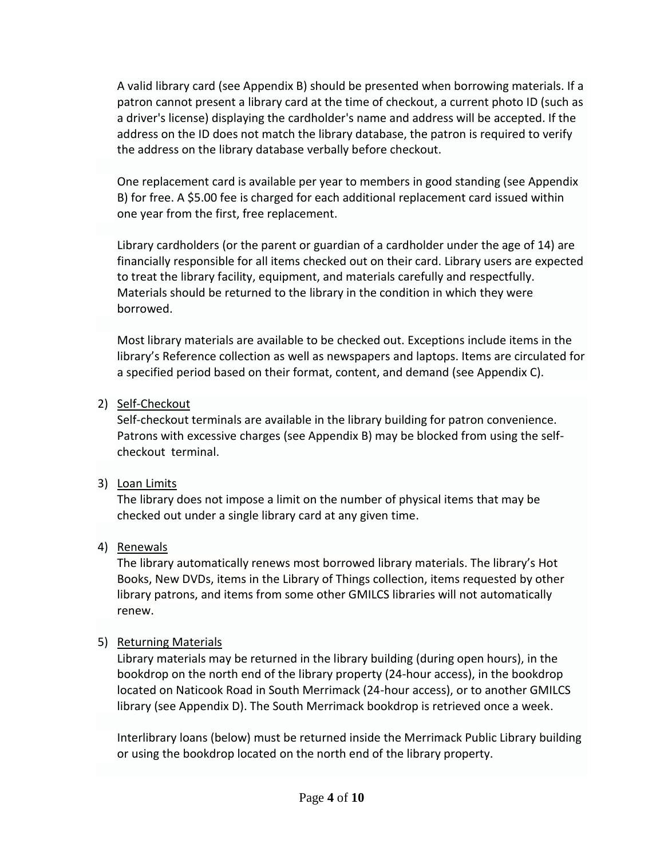A valid library card (see Appendix B) should be presented when borrowing materials. If a patron cannot present a library card at the time of checkout, a current photo ID (such as a driver's license) displaying the cardholder's name and address will be accepted. If the address on the ID does not match the library database, the patron is required to verify the address on the library database verbally before checkout.

One replacement card is available per year to members in good standing (see Appendix B) for free. A \$5.00 fee is charged for each additional replacement card issued within one year from the first, free replacement.

Library cardholders (or the parent or guardian of a cardholder under the age of 14) are financially responsible for all items checked out on their card. Library users are expected to treat the library facility, equipment, and materials carefully and respectfully. Materials should be returned to the library in the condition in which they were borrowed.

Most library materials are available to be checked out. Exceptions include items in the library's Reference collection as well as newspapers and laptops. Items are circulated for a specified period based on their format, content, and demand (see Appendix C).

### 2) Self-Checkout

Self-checkout terminals are available in the library building for patron convenience. Patrons with excessive charges (see Appendix B) may be blocked from using the selfcheckout terminal.

## 3) Loan Limits

The library does not impose a limit on the number of physical items that may be checked out under a single library card at any given time.

## 4) Renewals

The library automatically renews most borrowed library materials. The library's Hot Books, New DVDs, items in the Library of Things collection, items requested by other library patrons, and items from some other GMILCS libraries will not automatically renew.

## 5) Returning Materials

Library materials may be returned in the library building (during open hours), in the bookdrop on the north end of the library property (24-hour access), in the bookdrop located on Naticook Road in South Merrimack (24-hour access), or to another GMILCS library (see Appendix D). The South Merrimack bookdrop is retrieved once a week.

Interlibrary loans (below) must be returned inside the Merrimack Public Library building or using the bookdrop located on the north end of the library property.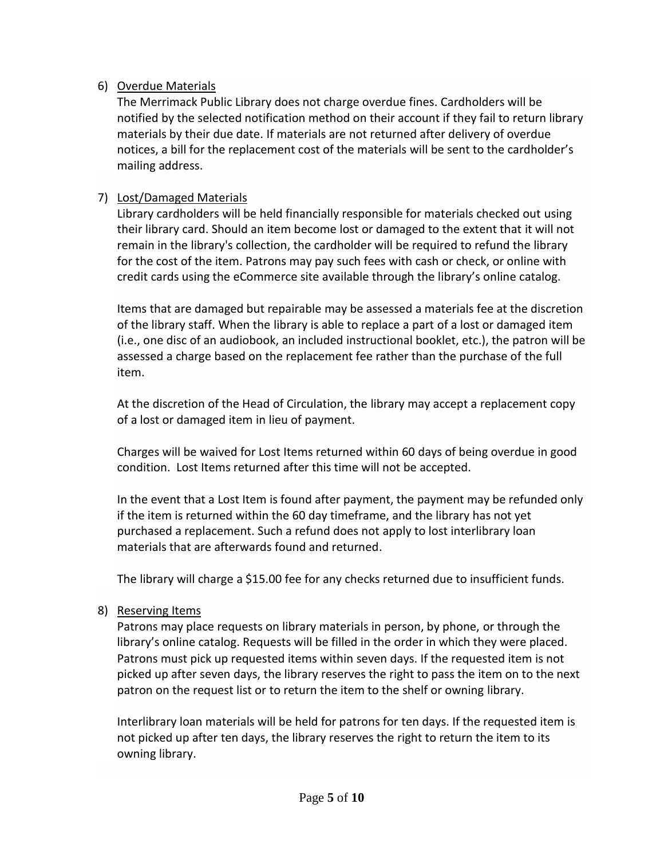## 6) Overdue Materials

The Merrimack Public Library does not charge overdue fines. Cardholders will be notified by the selected notification method on their account if they fail to return library materials by their due date. If materials are not returned after delivery of overdue notices, a bill for the replacement cost of the materials will be sent to the cardholder's mailing address.

## 7) Lost/Damaged Materials

Library cardholders will be held financially responsible for materials checked out using their library card. Should an item become lost or damaged to the extent that it will not remain in the library's collection, the cardholder will be required to refund the library for the cost of the item. Patrons may pay such fees with cash or check, or online with credit cards using the eCommerce site available through the library's online catalog.

Items that are damaged but repairable may be assessed a materials fee at the discretion of the library staff. When the library is able to replace a part of a lost or damaged item (i.e., one disc of an audiobook, an included instructional booklet, etc.), the patron will be assessed a charge based on the replacement fee rather than the purchase of the full item.

At the discretion of the Head of Circulation, the library may accept a replacement copy of a lost or damaged item in lieu of payment.

Charges will be waived for Lost Items returned within 60 days of being overdue in good condition. Lost Items returned after this time will not be accepted.

In the event that a Lost Item is found after payment, the payment may be refunded only if the item is returned within the 60 day timeframe, and the library has not yet purchased a replacement. Such a refund does not apply to lost interlibrary loan materials that are afterwards found and returned.

The library will charge a \$15.00 fee for any checks returned due to insufficient funds.

# 8) Reserving Items

Patrons may place requests on library materials in person, by phone, or through the library's online catalog. Requests will be filled in the order in which they were placed. Patrons must pick up requested items within seven days. If the requested item is not picked up after seven days, the library reserves the right to pass the item on to the next patron on the request list or to return the item to the shelf or owning library.

Interlibrary loan materials will be held for patrons for ten days. If the requested item is not picked up after ten days, the library reserves the right to return the item to its owning library.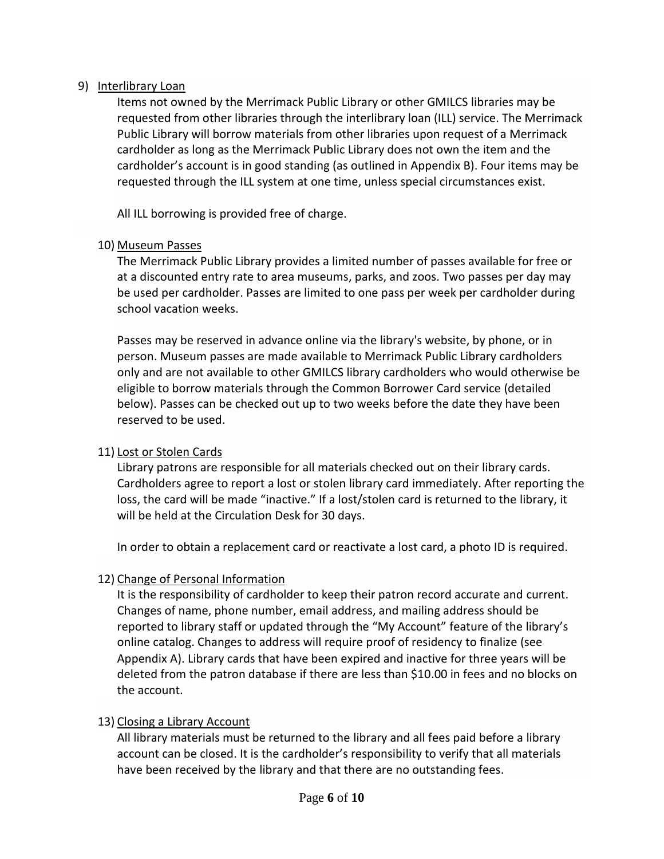#### 9) Interlibrary Loan

Items not owned by the Merrimack Public Library or other GMILCS libraries may be requested from other libraries through the interlibrary loan (ILL) service. The Merrimack Public Library will borrow materials from other libraries upon request of a Merrimack cardholder as long as the Merrimack Public Library does not own the item and the cardholder's account is in good standing (as outlined in Appendix B). Four items may be requested through the ILL system at one time, unless special circumstances exist.

All ILL borrowing is provided free of charge.

### 10) Museum Passes

The Merrimack Public Library provides a limited number of passes available for free or at a discounted entry rate to area museums, parks, and zoos. Two passes per day may be used per cardholder. Passes are limited to one pass per week per cardholder during school vacation weeks.

Passes may be reserved in advance online via the library's website, by phone, or in person. Museum passes are made available to Merrimack Public Library cardholders only and are not available to other GMILCS library cardholders who would otherwise be eligible to borrow materials through the Common Borrower Card service (detailed below). Passes can be checked out up to two weeks before the date they have been reserved to be used.

## 11) Lost or Stolen Cards

Library patrons are responsible for all materials checked out on their library cards. Cardholders agree to report a lost or stolen library card immediately. After reporting the loss, the card will be made "inactive." If a lost/stolen card is returned to the library, it will be held at the Circulation Desk for 30 days.

In order to obtain a replacement card or reactivate a lost card, a photo ID is required.

## 12) Change of Personal Information

It is the responsibility of cardholder to keep their patron record accurate and current. Changes of name, phone number, email address, and mailing address should be reported to library staff or updated through the "My Account" feature of the library's online catalog. Changes to address will require proof of residency to finalize (see Appendix A). Library cards that have been expired and inactive for three years will be deleted from the patron database if there are less than \$10.00 in fees and no blocks on the account.

## 13) Closing a Library Account

All library materials must be returned to the library and all fees paid before a library account can be closed. It is the cardholder's responsibility to verify that all materials have been received by the library and that there are no outstanding fees.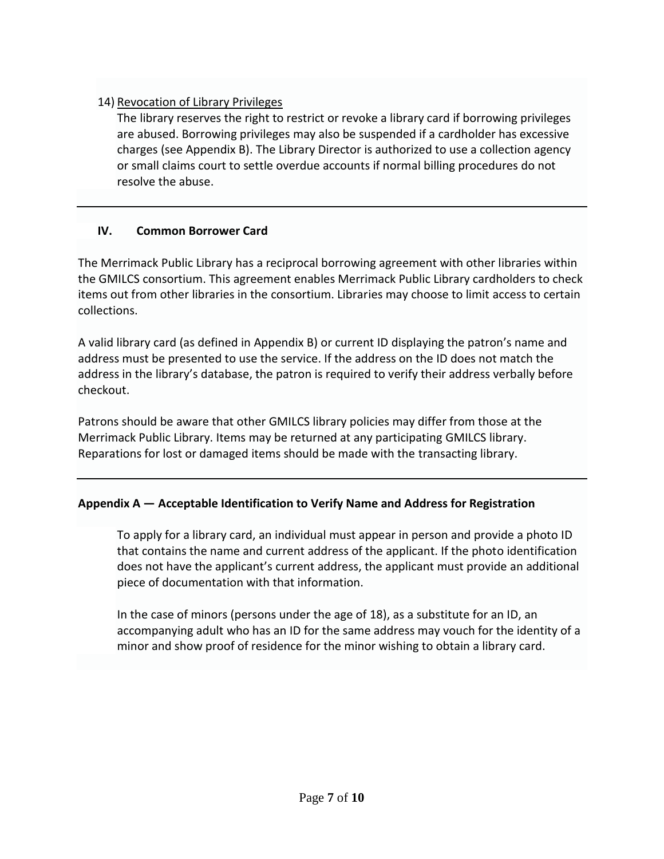## 14) Revocation of Library Privileges

The library reserves the right to restrict or revoke a library card if borrowing privileges are abused. Borrowing privileges may also be suspended if a cardholder has excessive charges (see Appendix B). The Library Director is authorized to use a collection agency or small claims court to settle overdue accounts if normal billing procedures do not resolve the abuse.

## **IV. Common Borrower Card**

The Merrimack Public Library has a reciprocal borrowing agreement with other libraries within the GMILCS consortium. This agreement enables Merrimack Public Library cardholders to check items out from other libraries in the consortium. Libraries may choose to limit access to certain collections.

A valid library card (as defined in Appendix B) or current ID displaying the patron's name and address must be presented to use the service. If the address on the ID does not match the address in the library's database, the patron is required to verify their address verbally before checkout.

Patrons should be aware that other GMILCS library policies may differ from those at the Merrimack Public Library. Items may be returned at any participating GMILCS library. Reparations for lost or damaged items should be made with the transacting library.

## **Appendix A — Acceptable Identification to Verify Name and Address for Registration**

To apply for a library card, an individual must appear in person and provide a photo ID that contains the name and current address of the applicant. If the photo identification does not have the applicant's current address, the applicant must provide an additional piece of documentation with that information.

In the case of minors (persons under the age of 18), as a substitute for an ID, an accompanying adult who has an ID for the same address may vouch for the identity of a minor and show proof of residence for the minor wishing to obtain a library card.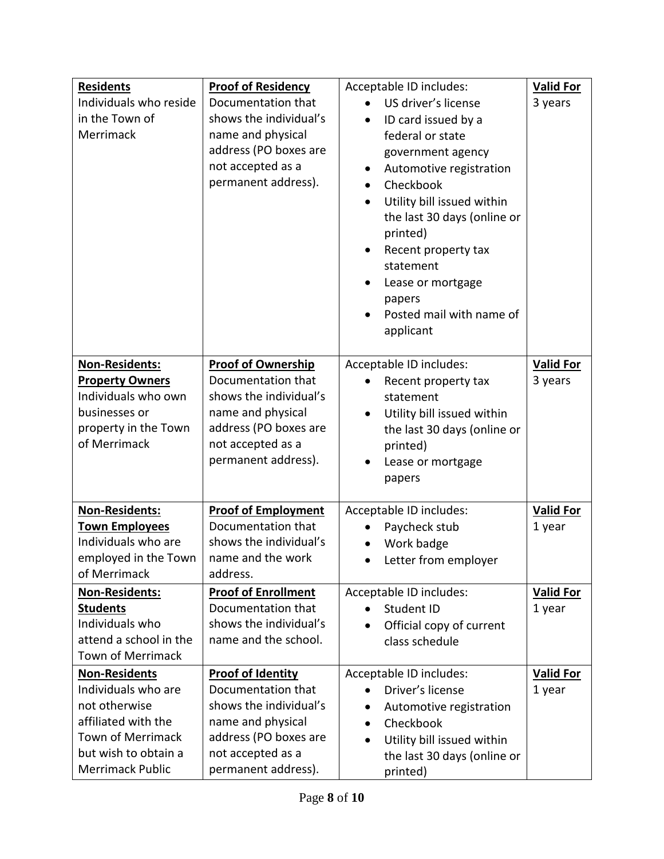| <b>Residents</b>         | <b>Proof of Residency</b>  | Acceptable ID includes:                 | <b>Valid For</b> |
|--------------------------|----------------------------|-----------------------------------------|------------------|
| Individuals who reside   | Documentation that         | US driver's license                     | 3 years          |
| in the Town of           | shows the individual's     | ID card issued by a<br>$\bullet$        |                  |
| Merrimack                | name and physical          | federal or state                        |                  |
|                          | address (PO boxes are      | government agency                       |                  |
|                          | not accepted as a          | Automotive registration<br>$\bullet$    |                  |
|                          | permanent address).        | Checkbook<br>$\bullet$                  |                  |
|                          |                            | Utility bill issued within<br>$\bullet$ |                  |
|                          |                            | the last 30 days (online or             |                  |
|                          |                            | printed)                                |                  |
|                          |                            | Recent property tax<br>$\bullet$        |                  |
|                          |                            | statement                               |                  |
|                          |                            | Lease or mortgage<br>$\bullet$          |                  |
|                          |                            | papers                                  |                  |
|                          |                            | Posted mail with name of                |                  |
|                          |                            | applicant                               |                  |
|                          |                            |                                         |                  |
| Non-Residents:           | <b>Proof of Ownership</b>  | Acceptable ID includes:                 | <b>Valid For</b> |
| <b>Property Owners</b>   | Documentation that         | Recent property tax                     | 3 years          |
| Individuals who own      | shows the individual's     | statement                               |                  |
| businesses or            | name and physical          | Utility bill issued within<br>$\bullet$ |                  |
| property in the Town     | address (PO boxes are      | the last 30 days (online or             |                  |
| of Merrimack             | not accepted as a          | printed)                                |                  |
|                          | permanent address).        | Lease or mortgage                       |                  |
|                          |                            | papers                                  |                  |
|                          |                            |                                         |                  |
| Non-Residents:           | <b>Proof of Employment</b> | Acceptable ID includes:                 | <b>Valid For</b> |
| <b>Town Employees</b>    | Documentation that         | Paycheck stub                           | 1 year           |
| Individuals who are      | shows the individual's     | Work badge                              |                  |
| employed in the Town     | name and the work          | Letter from employer                    |                  |
| of Merrimack             | address.                   |                                         |                  |
| Non-Residents:           | <b>Proof of Enrollment</b> | Acceptable ID includes:                 | <b>Valid For</b> |
| <b>Students</b>          | Documentation that         | Student ID                              | 1 year           |
| Individuals who          | shows the individual's     | Official copy of current<br>$\bullet$   |                  |
| attend a school in the   | name and the school.       | class schedule                          |                  |
| <b>Town of Merrimack</b> |                            |                                         |                  |
| <b>Non-Residents</b>     | <b>Proof of Identity</b>   | Acceptable ID includes:                 | <b>Valid For</b> |
| Individuals who are      | Documentation that         | Driver's license                        | 1 year           |
| not otherwise            | shows the individual's     | Automotive registration<br>$\bullet$    |                  |
| affiliated with the      | name and physical          | Checkbook<br>$\bullet$                  |                  |
| <b>Town of Merrimack</b> | address (PO boxes are      | Utility bill issued within<br>$\bullet$ |                  |
| but wish to obtain a     | not accepted as a          | the last 30 days (online or             |                  |
| Merrimack Public         | permanent address).        | printed)                                |                  |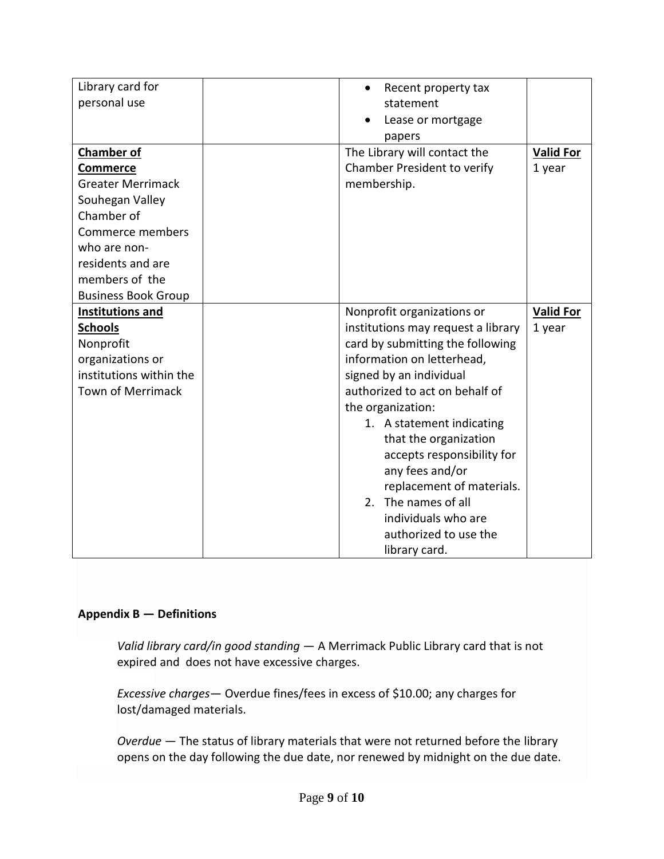| Library card for           | Recent property tax<br>$\bullet$             |                  |  |
|----------------------------|----------------------------------------------|------------------|--|
| personal use               | statement                                    |                  |  |
|                            | Lease or mortgage                            |                  |  |
|                            | papers                                       |                  |  |
| <b>Chamber of</b>          | The Library will contact the                 | <b>Valid For</b> |  |
| <b>Commerce</b>            | Chamber President to verify                  | 1 year           |  |
| <b>Greater Merrimack</b>   | membership.                                  |                  |  |
| Souhegan Valley            |                                              |                  |  |
| Chamber of                 |                                              |                  |  |
| Commerce members           |                                              |                  |  |
| who are non-               |                                              |                  |  |
| residents and are          |                                              |                  |  |
| members of the             |                                              |                  |  |
| <b>Business Book Group</b> |                                              |                  |  |
| <b>Institutions and</b>    | Nonprofit organizations or                   | <b>Valid For</b> |  |
| <b>Schools</b>             | institutions may request a library<br>1 year |                  |  |
| Nonprofit                  | card by submitting the following             |                  |  |
| organizations or           | information on letterhead,                   |                  |  |
| institutions within the    | signed by an individual                      |                  |  |
| <b>Town of Merrimack</b>   | authorized to act on behalf of               |                  |  |
|                            | the organization:                            |                  |  |
|                            | 1. A statement indicating                    |                  |  |
|                            | that the organization                        |                  |  |
|                            | accepts responsibility for                   |                  |  |
|                            | any fees and/or                              |                  |  |
|                            | replacement of materials.                    |                  |  |
|                            | The names of all<br>2.                       |                  |  |
|                            | individuals who are                          |                  |  |
|                            | authorized to use the                        |                  |  |
|                            | library card.                                |                  |  |

#### **Appendix B — Definitions**

*Valid library card/in good standing* — A Merrimack Public Library card that is not expired and does not have excessive charges.

*Excessive charges*— Overdue fines/fees in excess of \$10.00; any charges for lost/damaged materials.

*Overdue* — The status of library materials that were not returned before the library opens on the day following the due date, nor renewed by midnight on the due date.